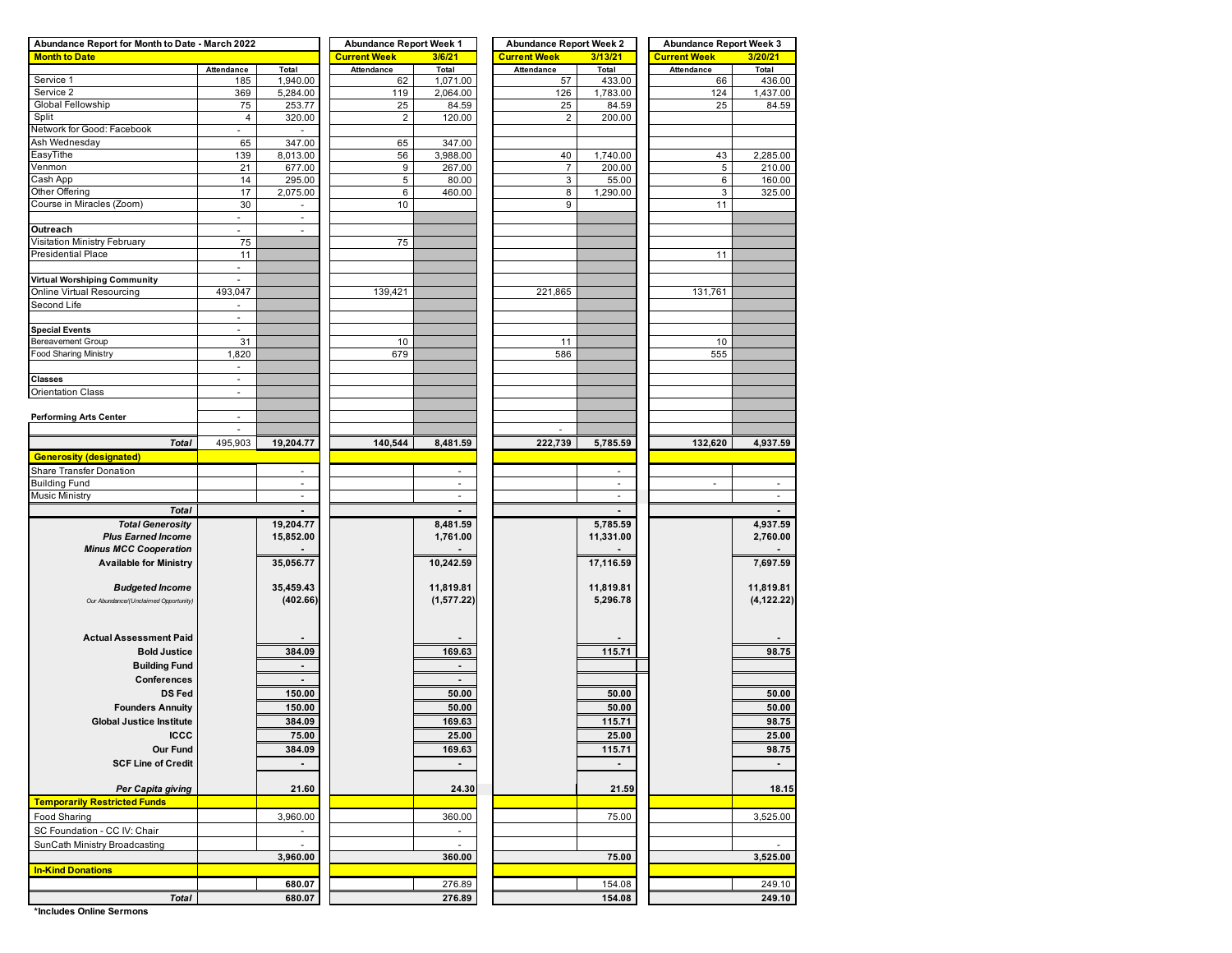| Abundance Report for Month to Date - March 2022 |                          |                | <b>Abundance Report Week 1</b> |                | <b>Abundance Report Week 2</b> |           | <b>Abundance Report Week 3</b> |                  |  |  |  |
|-------------------------------------------------|--------------------------|----------------|--------------------------------|----------------|--------------------------------|-----------|--------------------------------|------------------|--|--|--|
| <b>Month to Date</b>                            |                          |                | <b>Current Week</b>            | 3/6/21         | <b>Current Week</b>            | 3/13/21   | <b>Current Week</b>            | 3/20/21          |  |  |  |
|                                                 | Attendance               | Total          | Attendance                     | Total          | Attendance                     | Total     | Attendance                     | Total            |  |  |  |
| Service 1                                       | 185                      | 1,940.00       | 62                             | 1,071.00       | 57                             | 433.00    | 66                             | 436.00           |  |  |  |
| Service 2                                       | 369                      | 5,284.00       | 119                            | 2,064.00       | 126                            | 1,783.00  | 124                            | 1,437.00         |  |  |  |
| Global Fellowship                               | 75                       | 253.77         | 25                             | 84.59          | 25                             | 84.59     | 25                             | 84.59            |  |  |  |
| Split                                           | 4                        | 320.00         | $\overline{2}$                 | 120.00         | $\overline{2}$                 | 200.00    |                                |                  |  |  |  |
| Network for Good: Facebook                      |                          |                |                                |                |                                |           |                                |                  |  |  |  |
| Ash Wednesday                                   | 65                       | 347.00         | 65                             | 347.00         |                                |           |                                |                  |  |  |  |
| EasyTithe                                       | 139                      | 8,013.00       | 56                             | 3,988.00       | 40                             | 1,740.00  | 43                             | 2,285.00         |  |  |  |
| Venmon<br>Cash App                              | 21                       | 677.00         | 9                              | 267.00         | 7                              | 200.00    | 5                              | 210.00           |  |  |  |
| Other Offering                                  | 14<br>17                 | 295.00         | $\,$ 5 $\,$                    | 80.00          | 3                              | 55.00     | 6                              | 160.00<br>325.00 |  |  |  |
| Course in Miracles (Zoom)                       | 30                       | 2,075.00       | 6<br>10                        | 460.00         | 8<br>9                         | 1,290.00  | 3<br>11                        |                  |  |  |  |
|                                                 | $\blacksquare$           | $\blacksquare$ |                                |                |                                |           |                                |                  |  |  |  |
| Outreach                                        | $\sim$                   | ÷.             |                                |                |                                |           |                                |                  |  |  |  |
| Visitation Ministry February                    | 75                       |                | 75                             |                |                                |           |                                |                  |  |  |  |
| <b>Presidential Place</b>                       | 11                       |                |                                |                |                                |           | 11                             |                  |  |  |  |
|                                                 | ٠                        |                |                                |                |                                |           |                                |                  |  |  |  |
| <b>Virtual Worshiping Community</b>             |                          |                |                                |                |                                |           |                                |                  |  |  |  |
| Online Virtual Resourcing                       | 493,047                  |                | 139,421                        |                | 221,865                        |           | 131,761                        |                  |  |  |  |
| Second Life                                     | ٠                        |                |                                |                |                                |           |                                |                  |  |  |  |
|                                                 |                          |                |                                |                |                                |           |                                |                  |  |  |  |
| <b>Special Events</b>                           | $\sim$                   |                |                                |                |                                |           |                                |                  |  |  |  |
| Bereavement Group                               | 31                       |                | 10                             |                | 11                             |           | 10                             |                  |  |  |  |
| Food Sharing Ministry                           | 1,820                    |                | 679                            |                | 586                            |           | 555                            |                  |  |  |  |
|                                                 | $\overline{\phantom{a}}$ |                |                                |                |                                |           |                                |                  |  |  |  |
| Classes                                         | $\overline{\phantom{a}}$ |                |                                |                |                                |           |                                |                  |  |  |  |
| <b>Orientation Class</b>                        | $\blacksquare$           |                |                                |                |                                |           |                                |                  |  |  |  |
|                                                 |                          |                |                                |                |                                |           |                                |                  |  |  |  |
| <b>Performing Arts Center</b>                   | $\overline{\phantom{a}}$ |                |                                |                |                                |           |                                |                  |  |  |  |
|                                                 | ÷.                       |                |                                |                |                                |           |                                |                  |  |  |  |
| <b>Total</b>                                    | 495,903                  | 19,204.77      | 140,544                        | 8,481.59       | 222,739                        | 5,785.59  | 132,620                        | 4,937.59         |  |  |  |
| <b>Generosity (designated)</b>                  |                          |                |                                |                |                                |           |                                |                  |  |  |  |
| Share Transfer Donation                         |                          | ÷              |                                | $\blacksquare$ |                                | $\sim$    |                                |                  |  |  |  |
| <b>Building Fund</b>                            |                          | ×.             |                                | $\omega$       |                                | $\sim$    | ÷,                             | ÷.               |  |  |  |
| <b>Music Ministry</b>                           |                          | $\omega$       |                                | $\omega$       |                                | $\omega$  |                                | $\omega$         |  |  |  |
| <b>Total</b>                                    |                          |                |                                |                |                                |           |                                |                  |  |  |  |
| <b>Total Generosity</b>                         |                          | 19,204.77      |                                | 8,481.59       |                                | 5,785.59  |                                | 4,937.59         |  |  |  |
| <b>Plus Earned Income</b>                       |                          | 15,852.00      |                                | 1,761.00       |                                | 11,331.00 |                                | 2,760.00         |  |  |  |
| <b>Minus MCC Cooperation</b>                    |                          |                |                                |                |                                |           |                                |                  |  |  |  |
| <b>Available for Ministry</b>                   |                          | 35,056.77      |                                | 10,242.59      |                                | 17,116.59 |                                | 7,697.59         |  |  |  |
|                                                 |                          |                |                                |                |                                |           |                                |                  |  |  |  |
| <b>Budgeted Income</b>                          |                          | 35,459.43      |                                | 11,819.81      |                                | 11,819.81 |                                | 11,819.81        |  |  |  |
| Our Abundance/(Unclaimed Opportunity)           |                          | (402.66)       |                                | (1,577.22)     |                                | 5,296.78  |                                | (4, 122.22)      |  |  |  |
|                                                 |                          |                |                                |                |                                |           |                                |                  |  |  |  |
|                                                 |                          |                |                                |                |                                |           |                                |                  |  |  |  |
| <b>Actual Assessment Paid</b>                   |                          |                |                                |                |                                |           |                                |                  |  |  |  |
| <b>Bold Justice</b>                             |                          | 384.09         |                                | 169.63         |                                | 115.71    |                                | 98.75            |  |  |  |
| <b>Building Fund</b>                            |                          |                |                                |                |                                |           |                                |                  |  |  |  |
| Conferences                                     |                          |                |                                |                |                                |           |                                |                  |  |  |  |
| <b>DS Fed</b>                                   |                          | 150.00         |                                | 50.00          |                                | 50.00     |                                | 50.00            |  |  |  |
| <b>Founders Annuity</b>                         |                          | 150.00         |                                | 50.00          |                                | 50.00     |                                | 50.00            |  |  |  |
| <b>Global Justice Institute</b>                 |                          | 384.09         |                                | 169.63         |                                | 115.71    |                                | 98.75            |  |  |  |
|                                                 |                          |                |                                |                |                                |           |                                |                  |  |  |  |
| <b>ICCC</b>                                     |                          | <u>75.00</u>   |                                | <u>25.00</u>   |                                | 25.00     |                                | 25.00            |  |  |  |
| Our Fund                                        |                          | 384.09         |                                | 169.63         |                                | 115.71    |                                | 98.75            |  |  |  |
| <b>SCF Line of Credit</b>                       |                          |                |                                |                |                                |           |                                |                  |  |  |  |
|                                                 |                          |                |                                |                |                                |           |                                |                  |  |  |  |
| Per Capita giving                               |                          | 21.60          |                                | 24.30          |                                | 21.59     |                                | 18.15            |  |  |  |
| <b>Temporarily Restricted Funds</b>             |                          |                |                                |                |                                |           |                                |                  |  |  |  |
| Food Sharing                                    |                          | 3,960.00       |                                | 360.00         |                                | 75.00     |                                | 3,525.00         |  |  |  |
| SC Foundation - CC IV: Chair                    |                          |                |                                |                |                                |           |                                |                  |  |  |  |
| SunCath Ministry Broadcasting                   |                          |                |                                |                |                                |           |                                |                  |  |  |  |
|                                                 |                          | 3,960.00       |                                | 360.00         |                                | 75.00     |                                | 3,525.00         |  |  |  |
| <b>In-Kind Donations</b>                        |                          |                |                                |                |                                |           |                                |                  |  |  |  |
|                                                 |                          | 680.07         |                                | 276.89         |                                | 154.08    |                                | 249.10           |  |  |  |
| <b>Total</b>                                    |                          | 680.07         |                                | 276.89         |                                | 154.08    |                                | 249.10           |  |  |  |

**\*Includes Online Sermons**